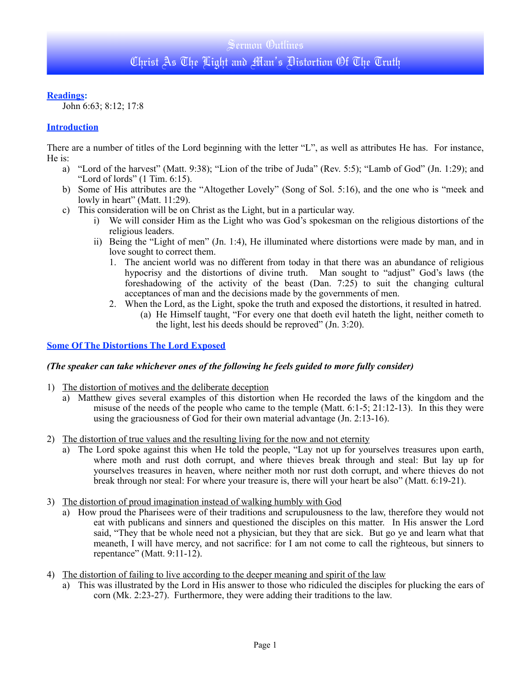## **Readings:**

John 6:63; 8:12; 17:8

## **Introduction**

There are a number of titles of the Lord beginning with the letter "L", as well as attributes He has. For instance, He is:

- a) "Lord of the harvest" (Matt. 9:38); "Lion of the tribe of Juda" (Rev. 5:5); "Lamb of God" (Jn. 1:29); and "Lord of lords" (1 Tim. 6:15).
- b) Some of His attributes are the "Altogether Lovely" (Song of Sol. 5:16), and the one who is "meek and lowly in heart" (Matt. 11:29).
- c) This consideration will be on Christ as the Light, but in a particular way.
	- i) We will consider Him as the Light who was God's spokesman on the religious distortions of the religious leaders.
	- ii) Being the "Light of men" (Jn. 1:4), He illuminated where distortions were made by man, and in love sought to correct them.
		- 1. The ancient world was no different from today in that there was an abundance of religious hypocrisy and the distortions of divine truth. Man sought to "adjust" God's laws (the foreshadowing of the activity of the beast (Dan. 7:25) to suit the changing cultural acceptances of man and the decisions made by the governments of men.
		- 2. When the Lord, as the Light, spoke the truth and exposed the distortions, it resulted in hatred.
			- (a) He Himself taught, "For every one that doeth evil hateth the light, neither cometh to the light, lest his deeds should be reproved" (Jn. 3:20).

### **Some Of The Distortions The Lord Exposed**

### *(The speaker can take whichever ones of the following he feels guided to more fully consider)*

- 1) The distortion of motives and the deliberate deception
	- a) Matthew gives several examples of this distortion when He recorded the laws of the kingdom and the misuse of the needs of the people who came to the temple (Matt. 6:1-5; 21:12-13). In this they were using the graciousness of God for their own material advantage (Jn. 2:13-16).
- 2) The distortion of true values and the resulting living for the now and not eternity
	- a) The Lord spoke against this when He told the people, "Lay not up for yourselves treasures upon earth, where moth and rust doth corrupt, and where thieves break through and steal: But lay up for yourselves treasures in heaven, where neither moth nor rust doth corrupt, and where thieves do not break through nor steal: For where your treasure is, there will your heart be also" (Matt. 6:19-21).
- 3) The distortion of proud imagination instead of walking humbly with God
	- a) How proud the Pharisees were of their traditions and scrupulousness to the law, therefore they would not eat with publicans and sinners and questioned the disciples on this matter. In His answer the Lord said, "They that be whole need not a physician, but they that are sick. But go ye and learn what that meaneth, I will have mercy, and not sacrifice: for I am not come to call the righteous, but sinners to repentance" (Matt. 9:11-12).
- 4) The distortion of failing to live according to the deeper meaning and spirit of the law
	- a) This was illustrated by the Lord in His answer to those who ridiculed the disciples for plucking the ears of corn (Mk. 2:23-27). Furthermore, they were adding their traditions to the law.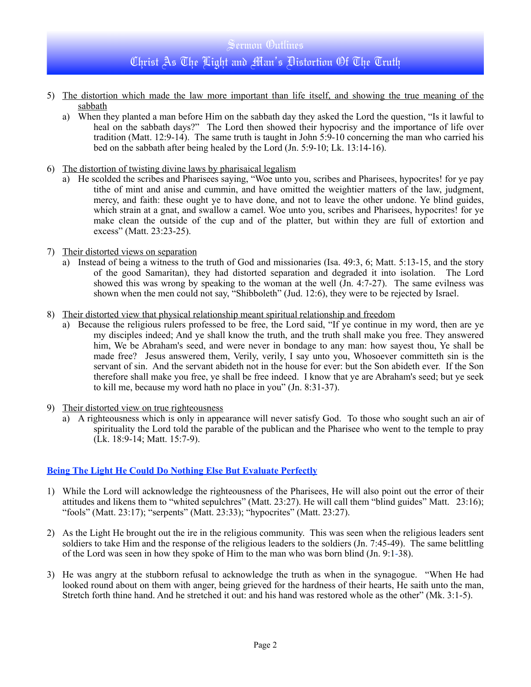- 5) The distortion which made the law more important than life itself, and showing the true meaning of the sabbath
	- a) When they planted a man before Him on the sabbath day they asked the Lord the question, "Is it lawful to heal on the sabbath days?" The Lord then showed their hypocrisy and the importance of life over tradition (Matt. 12:9-14). The same truth is taught in John 5:9-10 concerning the man who carried his bed on the sabbath after being healed by the Lord (Jn. 5:9-10; Lk. 13:14-16).
- 6) The distortion of twisting divine laws by pharisaical legalism
	- a) He scolded the scribes and Pharisees saying, "Woe unto you, scribes and Pharisees, hypocrites! for ye pay tithe of mint and anise and cummin, and have omitted the weightier matters of the law, judgment, mercy, and faith: these ought ye to have done, and not to leave the other undone. Ye blind guides, which strain at a gnat, and swallow a camel. Woe unto you, scribes and Pharisees, hypocrites! for ye make clean the outside of the cup and of the platter, but within they are full of extortion and excess" (Matt. 23:23-25).
- 7) Their distorted views on separation
	- a) Instead of being a witness to the truth of God and missionaries (Isa. 49:3, 6; Matt. 5:13-15, and the story of the good Samaritan), they had distorted separation and degraded it into isolation. The Lord showed this was wrong by speaking to the woman at the well (Jn. 4:7-27). The same evilness was shown when the men could not say, "Shibboleth" (Jud. 12:6), they were to be rejected by Israel.
- 8) Their distorted view that physical relationship meant spiritual relationship and freedom
	- a) Because the religious rulers professed to be free, the Lord said, "If ye continue in my word, then are ye my disciples indeed; And ye shall know the truth, and the truth shall make you free. They answered him, We be Abraham's seed, and were never in bondage to any man: how sayest thou, Ye shall be made free? Jesus answered them, Verily, verily, I say unto you, Whosoever committeth sin is the servant of sin. And the servant abideth not in the house for ever: but the Son abideth ever. If the Son therefore shall make you free, ye shall be free indeed. I know that ye are Abraham's seed; but ye seek to kill me, because my word hath no place in you" (Jn. 8:31-37).
- 9) Their distorted view on true righteousness
	- a) A righteousness which is only in appearance will never satisfy God. To those who sought such an air of spirituality the Lord told the parable of the publican and the Pharisee who went to the temple to pray (Lk. 18:9-14; Matt. 15:7-9).

# **Being The Light He Could Do Nothing Else But Evaluate Perfectly**

- 1) While the Lord will acknowledge the righteousness of the Pharisees, He will also point out the error of their attitudes and likens them to "whited sepulchres" (Matt. 23:27). He will call them "blind guides" Matt. 23:16); "fools" (Matt. 23:17); "serpents" (Matt. 23:33); "hypocrites" (Matt. 23:27).
- 2) As the Light He brought out the ire in the religious community. This was seen when the religious leaders sent soldiers to take Him and the response of the religious leaders to the soldiers (Jn. 7:45-49). The same belittling of the Lord was seen in how they spoke of Him to the man who was born blind (Jn. 9:1-38).
- 3) He was angry at the stubborn refusal to acknowledge the truth as when in the synagogue. "When He had looked round about on them with anger, being grieved for the hardness of their hearts, He saith unto the man, Stretch forth thine hand. And he stretched it out: and his hand was restored whole as the other" (Mk. 3:1-5).